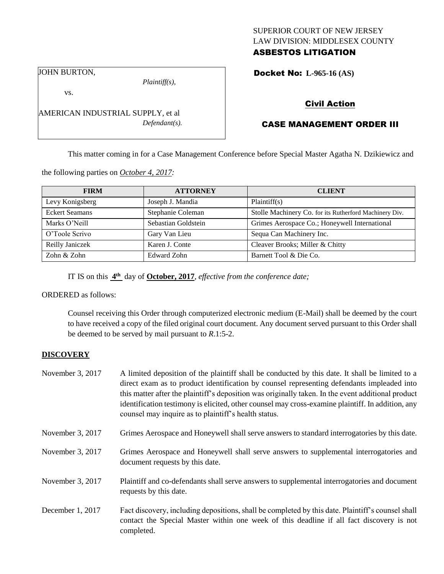## SUPERIOR COURT OF NEW JERSEY LAW DIVISION: MIDDLESEX COUNTY ASBESTOS LITIGATION

JOHN BURTON,

vs.

*Plaintiff(s),*

*Defendant(s).*

Docket No: **L-965-16 (AS)** 

## Civil Action

# CASE MANAGEMENT ORDER III

This matter coming in for a Case Management Conference before Special Master Agatha N. Dzikiewicz and

the following parties on *October 4, 2017:*

AMERICAN INDUSTRIAL SUPPLY, et al

| <b>FIRM</b>           | <b>ATTORNEY</b>     | <b>CLIENT</b>                                          |
|-----------------------|---------------------|--------------------------------------------------------|
| Levy Konigsberg       | Joseph J. Mandia    | Plaintiff(s)                                           |
| <b>Eckert Seamans</b> | Stephanie Coleman   | Stolle Machinery Co. for its Rutherford Machinery Div. |
| Marks O'Neill         | Sebastian Goldstein | Grimes Aerospace Co.; Honeywell International          |
| O'Toole Scrivo        | Gary Van Lieu       | Sequa Can Machinery Inc.                               |
| Reilly Janiczek       | Karen J. Conte      | Cleaver Brooks; Miller & Chitty                        |
| Zohn & Zohn           | <b>Edward Zohn</b>  | Barnett Tool & Die Co.                                 |

IT IS on this **4 th** day of **October, 2017**, *effective from the conference date;*

ORDERED as follows:

Counsel receiving this Order through computerized electronic medium (E-Mail) shall be deemed by the court to have received a copy of the filed original court document. Any document served pursuant to this Order shall be deemed to be served by mail pursuant to *R*.1:5-2.

## **DISCOVERY**

| November 3, 2017 | A limited deposition of the plaintiff shall be conducted by this date. It shall be limited to a<br>direct exam as to product identification by counsel representing defendants impleaded into<br>this matter after the plaintiff's deposition was originally taken. In the event additional product<br>identification testimony is elicited, other counsel may cross-examine plaintiff. In addition, any<br>counsel may inquire as to plaintiff's health status. |
|------------------|------------------------------------------------------------------------------------------------------------------------------------------------------------------------------------------------------------------------------------------------------------------------------------------------------------------------------------------------------------------------------------------------------------------------------------------------------------------|
| November 3, 2017 | Grimes Aerospace and Honeywell shall serve answers to standard interrogatories by this date.                                                                                                                                                                                                                                                                                                                                                                     |
| November 3, 2017 | Grimes Aerospace and Honeywell shall serve answers to supplemental interrogatories and<br>document requests by this date.                                                                                                                                                                                                                                                                                                                                        |
| November 3, 2017 | Plaintiff and co-defendants shall serve answers to supplemental interrogatories and document<br>requests by this date.                                                                                                                                                                                                                                                                                                                                           |
| December 1, 2017 | Fact discovery, including depositions, shall be completed by this date. Plaintiff's counsel shall<br>contact the Special Master within one week of this deadline if all fact discovery is not<br>completed.                                                                                                                                                                                                                                                      |